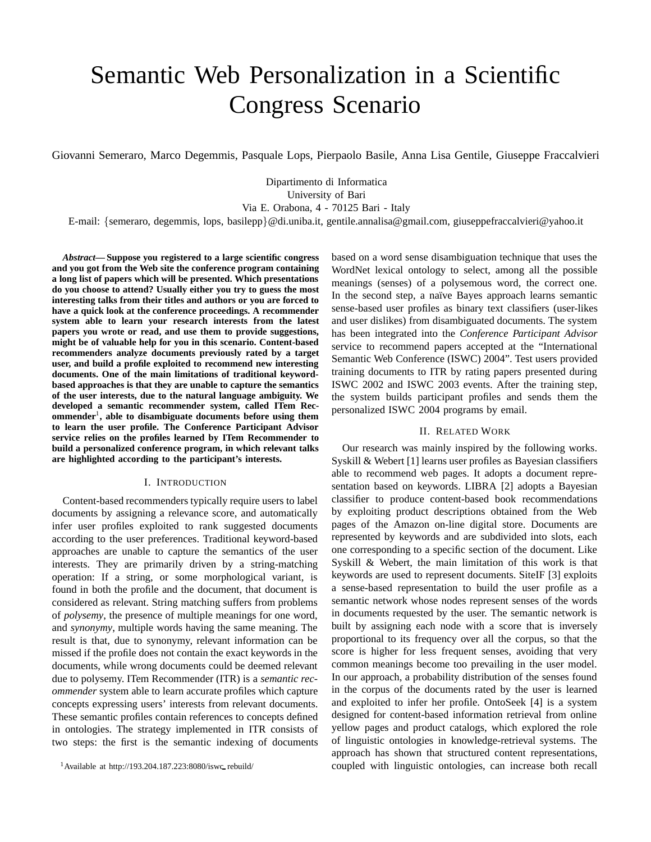# Semantic Web Personalization in a Scientific Congress Scenario

Giovanni Semeraro, Marco Degemmis, Pasquale Lops, Pierpaolo Basile, Anna Lisa Gentile, Giuseppe Fraccalvieri

Dipartimento di Informatica University of Bari Via E. Orabona, 4 - 70125 Bari - Italy

E-mail: {semeraro, degemmis, lops, basilepp}@di.uniba.it, gentile.annalisa@gmail.com, giuseppefraccalvieri@yahoo.it

*Abstract***— Suppose you registered to a large scientific congress and you got from the Web site the conference program containing a long list of papers which will be presented. Which presentations do you choose to attend? Usually either you try to guess the most interesting talks from their titles and authors or you are forced to have a quick look at the conference proceedings. A recommender system able to learn your research interests from the latest papers you wrote or read, and use them to provide suggestions, might be of valuable help for you in this scenario. Content-based recommenders analyze documents previously rated by a target user, and build a profile exploited to recommend new interesting documents. One of the main limitations of traditional keywordbased approaches is that they are unable to capture the semantics of the user interests, due to the natural language ambiguity. We developed a semantic recommender system, called ITem Recommender**<sup>1</sup> **, able to disambiguate documents before using them to learn the user profile. The Conference Participant Advisor service relies on the profiles learned by ITem Recommender to build a personalized conference program, in which relevant talks are highlighted according to the participant's interests.**

## I. INTRODUCTION

Content-based recommenders typically require users to label documents by assigning a relevance score, and automatically infer user profiles exploited to rank suggested documents according to the user preferences. Traditional keyword-based approaches are unable to capture the semantics of the user interests. They are primarily driven by a string-matching operation: If a string, or some morphological variant, is found in both the profile and the document, that document is considered as relevant. String matching suffers from problems of *polysemy*, the presence of multiple meanings for one word, and *synonymy*, multiple words having the same meaning. The result is that, due to synonymy, relevant information can be missed if the profile does not contain the exact keywords in the documents, while wrong documents could be deemed relevant due to polysemy. ITem Recommender (ITR) is a *semantic recommender* system able to learn accurate profiles which capture concepts expressing users' interests from relevant documents. These semantic profiles contain references to concepts defined in ontologies. The strategy implemented in ITR consists of two steps: the first is the semantic indexing of documents based on a word sense disambiguation technique that uses the WordNet lexical ontology to select, among all the possible meanings (senses) of a polysemous word, the correct one. In the second step, a naïve Bayes approach learns semantic sense-based user profiles as binary text classifiers (user-likes and user dislikes) from disambiguated documents. The system has been integrated into the *Conference Participant Advisor* service to recommend papers accepted at the "International Semantic Web Conference (ISWC) 2004". Test users provided training documents to ITR by rating papers presented during ISWC 2002 and ISWC 2003 events. After the training step, the system builds participant profiles and sends them the personalized ISWC 2004 programs by email.

## II. RELATED WORK

Our research was mainly inspired by the following works. Syskill & Webert [1] learns user profiles as Bayesian classifiers able to recommend web pages. It adopts a document representation based on keywords. LIBRA [2] adopts a Bayesian classifier to produce content-based book recommendations by exploiting product descriptions obtained from the Web pages of the Amazon on-line digital store. Documents are represented by keywords and are subdivided into slots, each one corresponding to a specific section of the document. Like Syskill & Webert, the main limitation of this work is that keywords are used to represent documents. SiteIF [3] exploits a sense-based representation to build the user profile as a semantic network whose nodes represent senses of the words in documents requested by the user. The semantic network is built by assigning each node with a score that is inversely proportional to its frequency over all the corpus, so that the score is higher for less frequent senses, avoiding that very common meanings become too prevailing in the user model. In our approach, a probability distribution of the senses found in the corpus of the documents rated by the user is learned and exploited to infer her profile. OntoSeek [4] is a system designed for content-based information retrieval from online yellow pages and product catalogs, which explored the role of linguistic ontologies in knowledge-retrieval systems. The approach has shown that structured content representations, coupled with linguistic ontologies, can increase both recall

<sup>1</sup>Available at http://193.204.187.223:8080/iswc rebuild/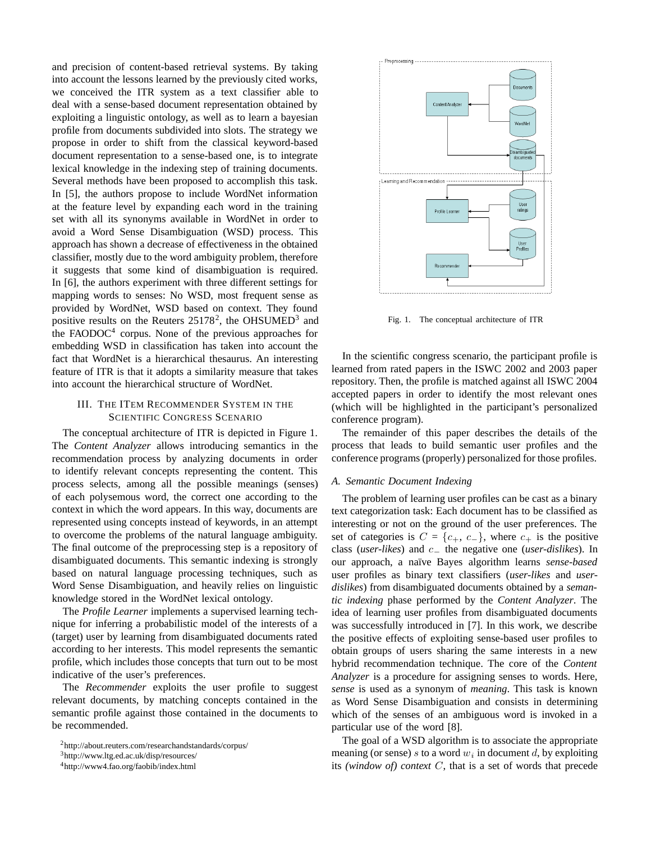and precision of content-based retrieval systems. By taking into account the lessons learned by the previously cited works, we conceived the ITR system as a text classifier able to deal with a sense-based document representation obtained by exploiting a linguistic ontology, as well as to learn a bayesian profile from documents subdivided into slots. The strategy we propose in order to shift from the classical keyword-based document representation to a sense-based one, is to integrate lexical knowledge in the indexing step of training documents. Several methods have been proposed to accomplish this task. In [5], the authors propose to include WordNet information at the feature level by expanding each word in the training set with all its synonyms available in WordNet in order to avoid a Word Sense Disambiguation (WSD) process. This approach has shown a decrease of effectiveness in the obtained classifier, mostly due to the word ambiguity problem, therefore it suggests that some kind of disambiguation is required. In [6], the authors experiment with three different settings for mapping words to senses: No WSD, most frequent sense as provided by WordNet, WSD based on context. They found positive results on the Reuters  $25178^2$ , the OHSUMED<sup>3</sup> and the FAODOC $4$  corpus. None of the previous approaches for embedding WSD in classification has taken into account the fact that WordNet is a hierarchical thesaurus. An interesting feature of ITR is that it adopts a similarity measure that takes into account the hierarchical structure of WordNet.

## III. THE ITEM RECOMMENDER SYSTEM IN THE SCIENTIFIC CONGRESS SCENARIO

The conceptual architecture of ITR is depicted in Figure 1. The *Content Analyzer* allows introducing semantics in the recommendation process by analyzing documents in order to identify relevant concepts representing the content. This process selects, among all the possible meanings (senses) of each polysemous word, the correct one according to the context in which the word appears. In this way, documents are represented using concepts instead of keywords, in an attempt to overcome the problems of the natural language ambiguity. The final outcome of the preprocessing step is a repository of disambiguated documents. This semantic indexing is strongly based on natural language processing techniques, such as Word Sense Disambiguation, and heavily relies on linguistic knowledge stored in the WordNet lexical ontology.

The *Profile Learner* implements a supervised learning technique for inferring a probabilistic model of the interests of a (target) user by learning from disambiguated documents rated according to her interests. This model represents the semantic profile, which includes those concepts that turn out to be most indicative of the user's preferences.

The *Recommender* exploits the user profile to suggest relevant documents, by matching concepts contained in the semantic profile against those contained in the documents to be recommended.



Fig. 1. The conceptual architecture of ITR

In the scientific congress scenario, the participant profile is learned from rated papers in the ISWC 2002 and 2003 paper repository. Then, the profile is matched against all ISWC 2004 accepted papers in order to identify the most relevant ones (which will be highlighted in the participant's personalized conference program).

The remainder of this paper describes the details of the process that leads to build semantic user profiles and the conference programs (properly) personalized for those profiles.

# *A. Semantic Document Indexing*

The problem of learning user profiles can be cast as a binary text categorization task: Each document has to be classified as interesting or not on the ground of the user preferences. The set of categories is  $C = \{c_+, c_-\}$ , where  $c_+$  is the positive class (*user-likes*) and *<sup>c</sup>*<sup>−</sup> the negative one (*user-dislikes*). In our approach, a na¨ıve Bayes algorithm learns *sense-based* user profiles as binary text classifiers (*user-likes* and *userdislikes*) from disambiguated documents obtained by a *semantic indexing* phase performed by the *Content Analyzer*. The idea of learning user profiles from disambiguated documents was successfully introduced in [7]. In this work, we describe the positive effects of exploiting sense-based user profiles to obtain groups of users sharing the same interests in a new hybrid recommendation technique. The core of the *Content Analyzer* is a procedure for assigning senses to words. Here, *sense* is used as a synonym of *meaning*. This task is known as Word Sense Disambiguation and consists in determining which of the senses of an ambiguous word is invoked in a particular use of the word [8].

The goal of a WSD algorithm is to associate the appropriate meaning (or sense) *s* to a word *w<sup>i</sup>* in document *d*, by exploiting its *(window of) context C*, that is a set of words that precede

<sup>&</sup>lt;sup>2</sup>http://about.reuters.com/researchandstandards/corpus/

<sup>3</sup>http://www.ltg.ed.ac.uk/disp/resources/

<sup>4</sup>http://www4.fao.org/faobib/index.html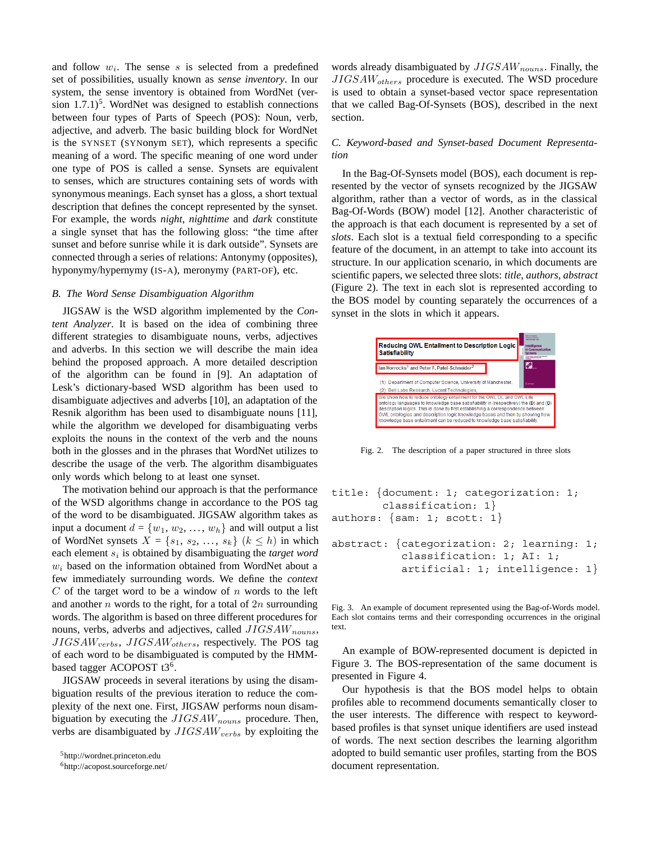and follow *wi*. The sense *s* is selected from a predefined set of possibilities, usually known as *sense inventory*. In our system, the sense inventory is obtained from WordNet (version  $1.7.1$ <sup>5</sup>. WordNet was designed to establish connections between four types of Parts of Speech (POS): Noun, verb, adjective, and adverb. The basic building block for WordNet is the SYNSET (SYNonym SET), which represents a specific meaning of a word. The specific meaning of one word under one type of POS is called a sense. Synsets are equivalent to senses, which are structures containing sets of words with synonymous meanings. Each synset has a gloss, a short textual description that defines the concept represented by the synset. For example, the words *night*, *nighttime* and *dark* constitute a single synset that has the following gloss: "the time after sunset and before sunrise while it is dark outside". Synsets are connected through a series of relations: Antonymy (opposites), hyponymy/hypernymy (IS-A), meronymy (PART-OF), etc.

## *B. The Word Sense Disambiguation Algorithm*

JIGSAW is the WSD algorithm implemented by the *Content Analyzer*. It is based on the idea of combining three different strategies to disambiguate nouns, verbs, adjectives and adverbs. In this section we will describe the main idea behind the proposed approach. A more detailed description of the algorithm can be found in [9]. An adaptation of Lesk's dictionary-based WSD algorithm has been used to disambiguate adjectives and adverbs [10], an adaptation of the Resnik algorithm has been used to disambiguate nouns [11], while the algorithm we developed for disambiguating verbs exploits the nouns in the context of the verb and the nouns both in the glosses and in the phrases that WordNet utilizes to describe the usage of the verb. The algorithm disambiguates only words which belong to at least one synset.

The motivation behind our approach is that the performance of the WSD algorithms change in accordance to the POS tag of the word to be disambiguated. JIGSAW algorithm takes as input a document  $d = \{w_1, w_2, \ldots, w_h\}$  and will output a list of WordNet synsets  $X = \{s_1, s_2, \ldots, s_k\}$  ( $k \leq h$ ) in which each element *s<sup>i</sup>* is obtained by disambiguating the *target word w<sup>i</sup>* based on the information obtained from WordNet about a few immediately surrounding words. We define the *context C* of the target word to be a window of *n* words to the left and another *n* words to the right, for a total of 2*n* surrounding words. The algorithm is based on three different procedures for nouns, verbs, adverbs and adjectives, called *JIGSAWnouns*, *JIGSAWverbs*, *JIGSAWothers*, respectively. The POS tag of each word to be disambiguated is computed by the HMMbased tagger ACOPOST t3<sup>6</sup>.

JIGSAW proceeds in several iterations by using the disambiguation results of the previous iteration to reduce the complexity of the next one. First, JIGSAW performs noun disambiguation by executing the *JIGSAWnouns* procedure. Then, verbs are disambiguated by *JIGSAWverbs* by exploiting the words already disambiguated by *JIGSAWnouns*. Finally, the *JIGSAWothers* procedure is executed. The WSD procedure is used to obtain a synset-based vector space representation that we called Bag-Of-Synsets (BOS), described in the next section.

# *C. Keyword-based and Synset-based Document Representation*

In the Bag-Of-Synsets model (BOS), each document is represented by the vector of synsets recognized by the JIGSAW algorithm, rather than a vector of words, as in the classical Bag-Of-Words (BOW) model [12]. Another characteristic of the approach is that each document is represented by a set of *slots*. Each slot is a textual field corresponding to a specific feature of the document, in an attempt to take into account its structure. In our application scenario, in which documents are scientific papers, we selected three slots: *title*, *authors*, *abstract* (Figure 2). The text in each slot is represented according to the BOS model by counting separately the occurrences of a synset in the slots in which it appears.



Fig. 2. The description of a paper structured in three slots

```
title: {document: 1; categorization: 1;
         classification: 1}
authors: \{ \text{sam: } 1; \text{ scott: } 1 \}abstract: {categorization: 2; learning: 1;
            classification: 1; AI: 1;
            artificial: 1; intelligence: 1}
```
An example of BOW-represented document is depicted in Figure 3. The BOS-representation of the same document is presented in Figure 4.

Our hypothesis is that the BOS model helps to obtain profiles able to recommend documents semantically closer to the user interests. The difference with respect to keywordbased profiles is that synset unique identifiers are used instead of words. The next section describes the learning algorithm adopted to build semantic user profiles, starting from the BOS document representation.

<sup>5</sup>http://wordnet.princeton.edu

<sup>6</sup>http://acopost.sourceforge.net/

Fig. 3. An example of document represented using the Bag-of-Words model. Each slot contains terms and their corresponding occurrences in the original text.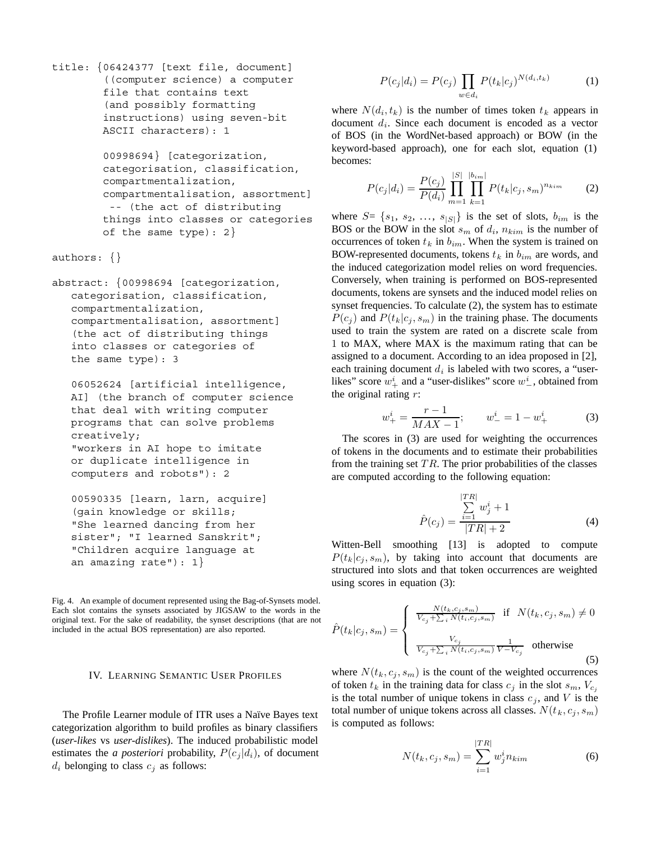title: {06424377 [text file, document] ((computer science) a computer file that contains text (and possibly formatting instructions) using seven-bit ASCII characters): 1

> 00998694} [categorization, categorisation, classification, compartmentalization, compartmentalisation, assortment] -- (the act of distributing things into classes or categories of the same type): 2}

```
authors: {}
```
abstract: {00998694 [categorization, categorisation, classification, compartmentalization, compartmentalisation, assortment] (the act of distributing things into classes or categories of the same type): 3

```
06052624 [artificial intelligence,
AI] (the branch of computer science
that deal with writing computer
programs that can solve problems
creatively;
"workers in AI hope to imitate
or duplicate intelligence in
computers and robots"): 2
```

```
00590335 [learn, larn, acquire]
(gain knowledge or skills;
"She learned dancing from her
sister"; "I learned Sanskrit";
"Children acquire language at
an amazing rate"): 1}
```
Fig. 4. An example of document represented using the Bag-of-Synsets model. Each slot contains the synsets associated by JIGSAW to the words in the original text. For the sake of readability, the synset descriptions (that are not included in the actual BOS representation) are also reported.

# IV. LEARNING SEMANTIC USER PROFILES

The Profile Learner module of ITR uses a Naïve Bayes text categorization algorithm to build profiles as binary classifiers (*user-likes* vs *user-dislikes*). The induced probabilistic model estimates the *a posteriori* probability,  $P(c_i | d_i)$ , of document  $d_i$  belonging to class  $c_j$  as follows:

$$
P(c_j|d_i) = P(c_j) \prod_{w \in d_i} P(t_k|c_j)^{N(d_i, t_k)}
$$
 (1)

where  $N(d_i, t_k)$  is the number of times token  $t_k$  appears in document *di*. Since each document is encoded as a vector of BOS (in the WordNet-based approach) or BOW (in the keyword-based approach), one for each slot, equation (1) becomes:

$$
P(c_j|d_i) = \frac{P(c_j)}{P(d_i)} \prod_{m=1}^{|S|} \prod_{k=1}^{|b_{im}|} P(t_k|c_j, s_m)^{n_{kim}} \tag{2}
$$

where  $S = \{s_1, s_2, \ldots, s_{|S|}\}\$ is the set of slots,  $b_{im}$  is the BOS or the BOW in the slot  $s_m$  of  $d_i$ ,  $n_{\text{kim}}$  is the number of occurrences of token  $t_k$  in  $b_{im}$ . When the system is trained on BOW-represented documents, tokens *t<sup>k</sup>* in *bim* are words, and the induced categorization model relies on word frequencies. Conversely, when training is performed on BOS-represented documents, tokens are synsets and the induced model relies on synset frequencies. To calculate (2), the system has to estimate  $P(c_i)$  and  $P(t_k|c_i, s_m)$  in the training phase. The documents used to train the system are rated on a discrete scale from 1 to MAX, where MAX is the maximum rating that can be assigned to a document. According to an idea proposed in [2], each training document  $d_i$  is labeled with two scores, a "userlikes" score  $w^i_+$  and a "user-dislikes" score  $w^i_-$ , obtained from the original rating *r*:

$$
w_{+}^{i} = \frac{r-1}{MAX-1}; \qquad w_{-}^{i} = 1 - w_{+}^{i}
$$
 (3)

The scores in (3) are used for weighting the occurrences of tokens in the documents and to estimate their probabilities from the training set *T R*. The prior probabilities of the classes are computed according to the following equation:

$$
\hat{P}(c_j) = \frac{\sum_{i=1}^{|TR|} w_j^i + 1}{|TR| + 2} \tag{4}
$$

Witten-Bell smoothing [13] is adopted to compute  $P(t_k|c_i, s_m)$ , by taking into account that documents are structured into slots and that token occurrences are weighted using scores in equation (3):

$$
\hat{P}(t_k|c_j, s_m) = \begin{cases}\n\frac{N(t_k, c_j, s_m)}{V_{c_j} + \sum_i N(t_i, c_j, s_m)} & \text{if } N(t_k, c_j, s_m) \neq 0 \\
\frac{V_{c_j}}{V_{c_j} + \sum_i N(t_i, c_j, s_m)} \frac{1}{V - V_{c_j}} & \text{otherwise}\n\end{cases}
$$
\n(5)

where  $N(t_k, c_j, s_m)$  is the count of the weighted occurrences of token  $t_k$  in the training data for class  $c_j$  in the slot  $s_m$ ,  $V_{c_j}$ is the total number of unique tokens in class  $c_j$ , and V is the total number of unique tokens across all classes.  $N(t_k, c_j, s_m)$ is computed as follows:

$$
N(t_k, c_j, s_m) = \sum_{i=1}^{|TR|} w_j^i n_{kim}
$$
 (6)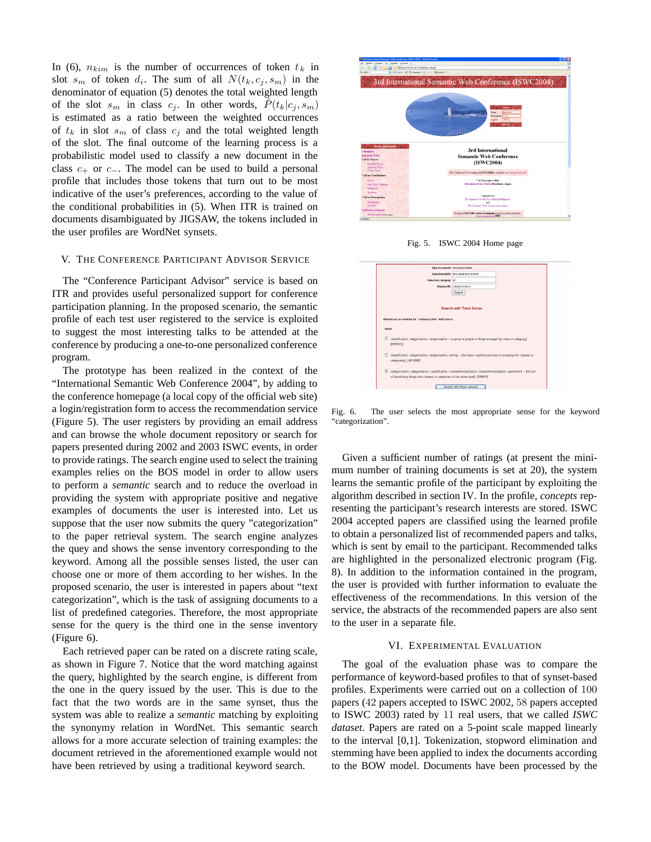In (6),  $n_{kim}$  is the number of occurrences of token  $t_k$  in slot  $s_m$  of token  $d_i$ . The sum of all  $N(t_k, c_j, s_m)$  in the denominator of equation (5) denotes the total weighted length of the slot  $s_m$  in class  $c_j$ . In other words,  $\hat{P}(t_k|c_j, s_m)$ is estimated as a ratio between the weighted occurrences of  $t_k$  in slot  $s_m$  of class  $c_j$  and the total weighted length of the slot. The final outcome of the learning process is a probabilistic model used to classify a new document in the class *<sup>c</sup>*<sup>+</sup> or *<sup>c</sup>*−. The model can be used to build a personal profile that includes those tokens that turn out to be most indicative of the user's preferences, according to the value of the conditional probabilities in (5). When ITR is trained on documents disambiguated by JIGSAW, the tokens included in the user profiles are WordNet synsets.

## V. THE CONFERENCE PARTICIPANT ADVISOR SERVICE

The "Conference Participant Advisor" service is based on ITR and provides useful personalized support for conference participation planning. In the proposed scenario, the semantic profile of each test user registered to the service is exploited to suggest the most interesting talks to be attended at the conference by producing a one-to-one personalized conference program.

The prototype has been realized in the context of the "International Semantic Web Conference 2004", by adding to the conference homepage (a local copy of the official web site) a login/registration form to access the recommendation service (Figure 5). The user registers by providing an email address and can browse the whole document repository or search for papers presented during 2002 and 2003 ISWC events, in order to provide ratings. The search engine used to select the training examples relies on the BOS model in order to allow users to perform a *semantic* search and to reduce the overload in providing the system with appropriate positive and negative examples of documents the user is interested into. Let us suppose that the user now submits the query "categorization" to the paper retrieval system. The search engine analyzes the quey and shows the sense inventory corresponding to the keyword. Among all the possible senses listed, the user can choose one or more of them according to her wishes. In the proposed scenario, the user is interested in papers about "text categorization", which is the task of assigning documents to a list of predefined categories. Therefore, the most appropriate sense for the query is the third one in the sense inventory (Figure 6).

Each retrieved paper can be rated on a discrete rating scale, as shown in Figure 7. Notice that the word matching against the query, highlighted by the search engine, is different from the one in the query issued by the user. This is due to the fact that the two words are in the same synset, thus the system was able to realize a *semantic* matching by exploiting the synonymy relation in WordNet. This semantic search allows for a more accurate selection of training examples: the document retrieved in the aforementioned example would not have been retrieved by using a traditional keyword search.



Fig. 5. ISWC 2004 Home page



Fig. 6. The user selects the most appropriate sense for the keyword "categorization".

Given a sufficient number of ratings (at present the minimum number of training documents is set at 20), the system learns the semantic profile of the participant by exploiting the algorithm described in section IV. In the profile, *concepts* representing the participant's research interests are stored. ISWC 2004 accepted papers are classified using the learned profile to obtain a personalized list of recommended papers and talks, which is sent by email to the participant. Recommended talks are highlighted in the personalized electronic program (Fig. 8). In addition to the information contained in the program, the user is provided with further information to evaluate the effectiveness of the recommendations. In this version of the service, the abstracts of the recommended papers are also sent to the user in a separate file.

#### VI. EXPERIMENTAL EVALUATION

The goal of the evaluation phase was to compare the performance of keyword-based profiles to that of synset-based profiles. Experiments were carried out on a collection of 100 papers (42 papers accepted to ISWC 2002, 58 papers accepted to ISWC 2003) rated by 11 real users, that we called *ISWC dataset*. Papers are rated on a 5-point scale mapped linearly to the interval [0,1]. Tokenization, stopword elimination and stemming have been applied to index the documents according to the BOW model. Documents have been processed by the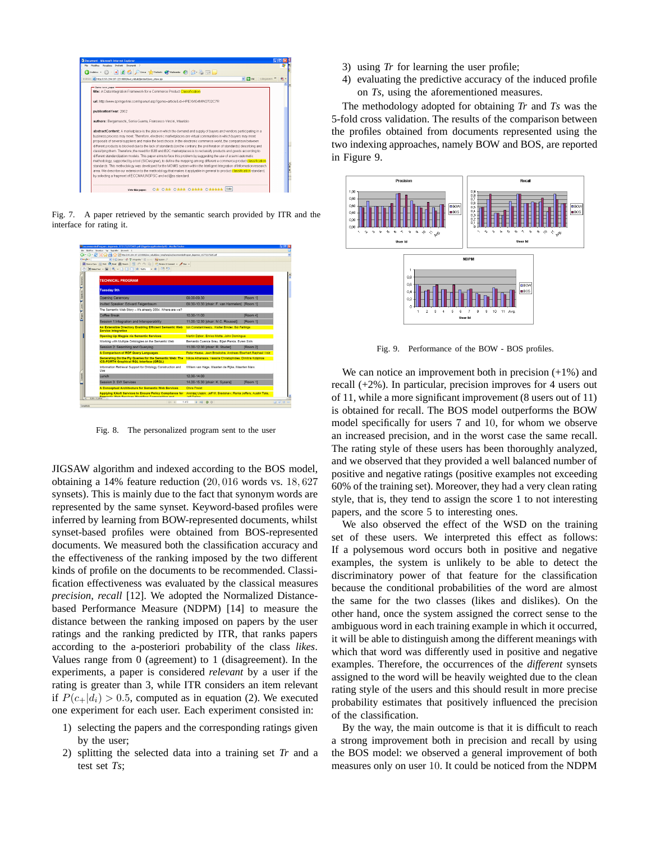

Fig. 7. A paper retrieved by the semantic search provided by ITR and the interface for rating it.



Fig. 8. The personalized program sent to the user

JIGSAW algorithm and indexed according to the BOS model, obtaining a 14% feature reduction (20*,* 016 words vs. 18*,* 627 synsets). This is mainly due to the fact that synonym words are represented by the same synset. Keyword-based profiles were inferred by learning from BOW-represented documents, whilst synset-based profiles were obtained from BOS-represented documents. We measured both the classification accuracy and the effectiveness of the ranking imposed by the two different kinds of profile on the documents to be recommended. Classification effectiveness was evaluated by the classical measures *precision*, *recall* [12]. We adopted the Normalized Distancebased Performance Measure (NDPM) [14] to measure the distance between the ranking imposed on papers by the user ratings and the ranking predicted by ITR, that ranks papers according to the a-posteriori probability of the class *likes*. Values range from 0 (agreement) to 1 (disagreement). In the experiments, a paper is considered *relevant* by a user if the rating is greater than 3, while ITR considers an item relevant if  $P(c_{+}|d_i) > 0.5$ , computed as in equation (2). We executed one experiment for each user. Each experiment consisted in:

- 1) selecting the papers and the corresponding ratings given by the user;
- 2) splitting the selected data into a training set *Tr* and a test set *Ts*;
- 3) using *Tr* for learning the user profile;
- 4) evaluating the predictive accuracy of the induced profile on *Ts*, using the aforementioned measures.

The methodology adopted for obtaining *Tr* and *Ts* was the 5-fold cross validation. The results of the comparison between the profiles obtained from documents represented using the two indexing approaches, namely BOW and BOS, are reported in Figure 9.



Fig. 9. Performance of the BOW - BOS profiles.

We can notice an improvement both in precision  $(+1%)$  and recall (+2%). In particular, precision improves for 4 users out of 11, while a more significant improvement (8 users out of 11) is obtained for recall. The BOS model outperforms the BOW model specifically for users 7 and 10, for whom we observe an increased precision, and in the worst case the same recall. The rating style of these users has been thoroughly analyzed, and we observed that they provided a well balanced number of positive and negative ratings (positive examples not exceeding 60% of the training set). Moreover, they had a very clean rating style, that is, they tend to assign the score 1 to not interesting papers, and the score 5 to interesting ones.

We also observed the effect of the WSD on the training set of these users. We interpreted this effect as follows: If a polysemous word occurs both in positive and negative examples, the system is unlikely to be able to detect the discriminatory power of that feature for the classification because the conditional probabilities of the word are almost the same for the two classes (likes and dislikes). On the other hand, once the system assigned the correct sense to the ambiguous word in each training example in which it occurred, it will be able to distinguish among the different meanings with which that word was differently used in positive and negative examples. Therefore, the occurrences of the *different* synsets assigned to the word will be heavily weighted due to the clean rating style of the users and this should result in more precise probability estimates that positively influenced the precision of the classification.

By the way, the main outcome is that it is difficult to reach a strong improvement both in precision and recall by using the BOS model: we observed a general improvement of both measures only on user 10. It could be noticed from the NDPM